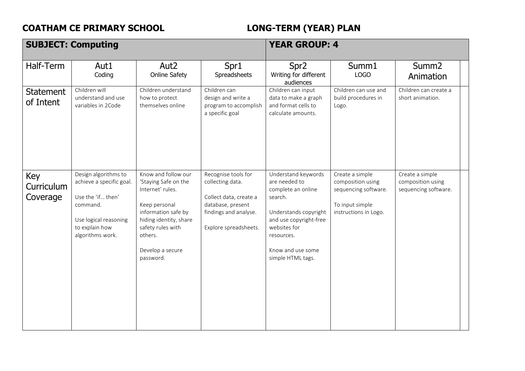## **COATHAM CE PRIMARY SCHOOL LONG-TERM (YEAR) PLAN**

|                               | <b>SUBJECT: Computing</b>                                                                                                                        |                                                                                                                                                                                                    | <b>YEAR GROUP: 4</b>                                                                                                                     |                                                                                                                                                                                                  |                                                                                                          |                                                              |
|-------------------------------|--------------------------------------------------------------------------------------------------------------------------------------------------|----------------------------------------------------------------------------------------------------------------------------------------------------------------------------------------------------|------------------------------------------------------------------------------------------------------------------------------------------|--------------------------------------------------------------------------------------------------------------------------------------------------------------------------------------------------|----------------------------------------------------------------------------------------------------------|--------------------------------------------------------------|
| Half-Term                     | Aut1<br>Coding                                                                                                                                   | Aut <sub>2</sub><br><b>Online Safety</b>                                                                                                                                                           | Spr1<br>Spreadsheets                                                                                                                     | Spr <sub>2</sub><br>Writing for different<br>audiences                                                                                                                                           | Summ1<br>LOGO                                                                                            | Summ <sub>2</sub><br>Animation                               |
| <b>Statement</b><br>of Intent | Children will<br>understand and use<br>variables in 2Code                                                                                        | Children understand<br>how to protect<br>themselves online                                                                                                                                         | Children can<br>design and write a<br>program to accomplish<br>a specific goal                                                           | Children can input<br>data to make a graph<br>and format cells to<br>calculate amounts.                                                                                                          | Children can use and<br>build procedures in<br>Logo.                                                     | Children can create a<br>short animation.                    |
| Key<br>Curriculum<br>Coverage | Design algorithms to<br>achieve a specific goal.<br>Use the 'if then'<br>command.<br>Use logical reasoning<br>to explain how<br>algorithms work. | Know and follow our<br>'Staying Safe on the<br>Internet' rules.<br>Keep personal<br>information safe by<br>hiding identity, share<br>safety rules with<br>others.<br>Develop a secure<br>password. | Recognise tools for<br>collecting data.<br>Collect data, create a<br>database, present<br>findings and analyse.<br>Explore spreadsheets. | Understand keywords<br>are needed to<br>complete an online<br>search.<br>Understands copyright<br>and use copyright-free<br>websites for<br>resources.<br>Know and use some<br>simple HTML tags. | Create a simple<br>composition using<br>sequencing software.<br>To input simple<br>instructions in Logo. | Create a simple<br>composition using<br>sequencing software. |